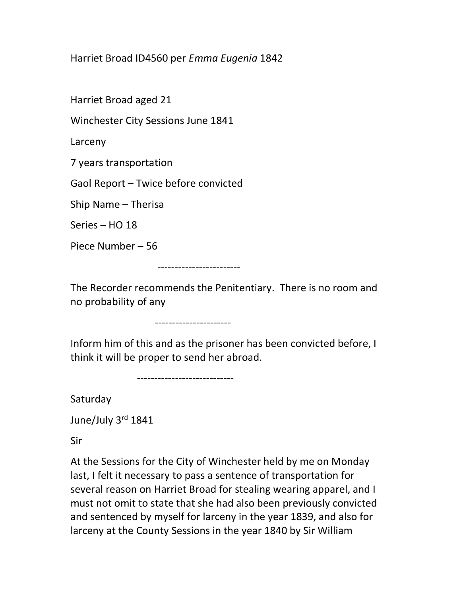Harriet Broad ID4560 per Emma Eugenia 1842

Harriet Broad aged 21

Winchester City Sessions June 1841

Larceny

7 years transportation

Gaol Report – Twice before convicted

Ship Name – Therisa

Series – HO 18

Piece Number – 56

------------------------

The Recorder recommends the Penitentiary. There is no room and no probability of any

----------------------

Inform him of this and as the prisoner has been convicted before, I think it will be proper to send her abroad.

----------------------------

Saturday

June/July 3rd 1841

Sir

At the Sessions for the City of Winchester held by me on Monday last, I felt it necessary to pass a sentence of transportation for several reason on Harriet Broad for stealing wearing apparel, and I must not omit to state that she had also been previously convicted and sentenced by myself for larceny in the year 1839, and also for larceny at the County Sessions in the year 1840 by Sir William